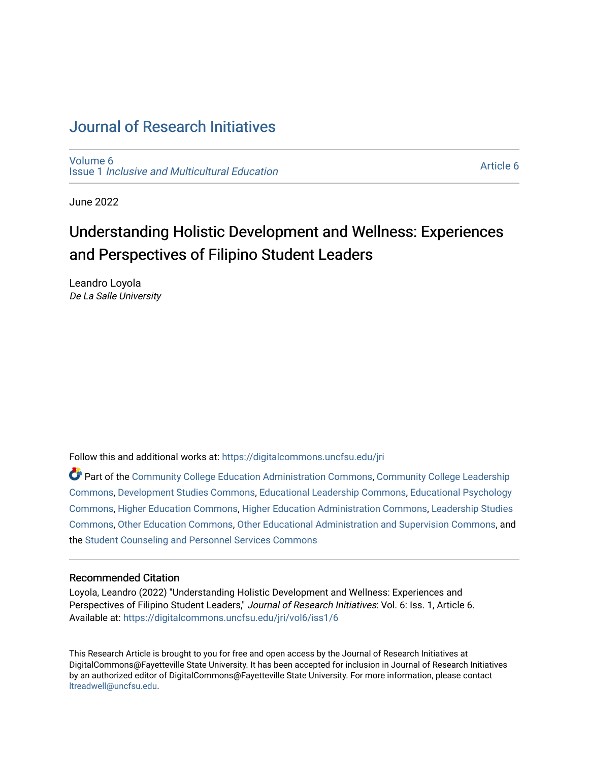# [Journal of Research Initiatives](https://digitalcommons.uncfsu.edu/jri)

[Volume 6](https://digitalcommons.uncfsu.edu/jri/vol6) Issue 1 [Inclusive and Multicultural Education](https://digitalcommons.uncfsu.edu/jri/vol6/iss1) 

[Article 6](https://digitalcommons.uncfsu.edu/jri/vol6/iss1/6) 

June 2022

# Understanding Holistic Development and Wellness: Experiences and Perspectives of Filipino Student Leaders

Leandro Loyola De La Salle University

Follow this and additional works at: [https://digitalcommons.uncfsu.edu/jri](https://digitalcommons.uncfsu.edu/jri?utm_source=digitalcommons.uncfsu.edu%2Fjri%2Fvol6%2Fiss1%2F6&utm_medium=PDF&utm_campaign=PDFCoverPages) 

Part of the [Community College Education Administration Commons](https://network.bepress.com/hgg/discipline/792?utm_source=digitalcommons.uncfsu.edu%2Fjri%2Fvol6%2Fiss1%2F6&utm_medium=PDF&utm_campaign=PDFCoverPages), [Community College Leadership](https://network.bepress.com/hgg/discipline/1039?utm_source=digitalcommons.uncfsu.edu%2Fjri%2Fvol6%2Fiss1%2F6&utm_medium=PDF&utm_campaign=PDFCoverPages) [Commons](https://network.bepress.com/hgg/discipline/1039?utm_source=digitalcommons.uncfsu.edu%2Fjri%2Fvol6%2Fiss1%2F6&utm_medium=PDF&utm_campaign=PDFCoverPages), [Development Studies Commons](https://network.bepress.com/hgg/discipline/1422?utm_source=digitalcommons.uncfsu.edu%2Fjri%2Fvol6%2Fiss1%2F6&utm_medium=PDF&utm_campaign=PDFCoverPages), [Educational Leadership Commons](https://network.bepress.com/hgg/discipline/1230?utm_source=digitalcommons.uncfsu.edu%2Fjri%2Fvol6%2Fiss1%2F6&utm_medium=PDF&utm_campaign=PDFCoverPages), [Educational Psychology](https://network.bepress.com/hgg/discipline/798?utm_source=digitalcommons.uncfsu.edu%2Fjri%2Fvol6%2Fiss1%2F6&utm_medium=PDF&utm_campaign=PDFCoverPages) [Commons](https://network.bepress.com/hgg/discipline/798?utm_source=digitalcommons.uncfsu.edu%2Fjri%2Fvol6%2Fiss1%2F6&utm_medium=PDF&utm_campaign=PDFCoverPages), [Higher Education Commons](https://network.bepress.com/hgg/discipline/1245?utm_source=digitalcommons.uncfsu.edu%2Fjri%2Fvol6%2Fiss1%2F6&utm_medium=PDF&utm_campaign=PDFCoverPages), [Higher Education Administration Commons](https://network.bepress.com/hgg/discipline/791?utm_source=digitalcommons.uncfsu.edu%2Fjri%2Fvol6%2Fiss1%2F6&utm_medium=PDF&utm_campaign=PDFCoverPages), [Leadership Studies](https://network.bepress.com/hgg/discipline/1250?utm_source=digitalcommons.uncfsu.edu%2Fjri%2Fvol6%2Fiss1%2F6&utm_medium=PDF&utm_campaign=PDFCoverPages)  [Commons](https://network.bepress.com/hgg/discipline/1250?utm_source=digitalcommons.uncfsu.edu%2Fjri%2Fvol6%2Fiss1%2F6&utm_medium=PDF&utm_campaign=PDFCoverPages), [Other Education Commons](https://network.bepress.com/hgg/discipline/811?utm_source=digitalcommons.uncfsu.edu%2Fjri%2Fvol6%2Fiss1%2F6&utm_medium=PDF&utm_campaign=PDFCoverPages), [Other Educational Administration and Supervision Commons,](https://network.bepress.com/hgg/discipline/794?utm_source=digitalcommons.uncfsu.edu%2Fjri%2Fvol6%2Fiss1%2F6&utm_medium=PDF&utm_campaign=PDFCoverPages) and the [Student Counseling and Personnel Services Commons](https://network.bepress.com/hgg/discipline/802?utm_source=digitalcommons.uncfsu.edu%2Fjri%2Fvol6%2Fiss1%2F6&utm_medium=PDF&utm_campaign=PDFCoverPages) 

#### Recommended Citation

Loyola, Leandro (2022) "Understanding Holistic Development and Wellness: Experiences and Perspectives of Filipino Student Leaders," Journal of Research Initiatives: Vol. 6: Iss. 1, Article 6. Available at: [https://digitalcommons.uncfsu.edu/jri/vol6/iss1/6](https://digitalcommons.uncfsu.edu/jri/vol6/iss1/6?utm_source=digitalcommons.uncfsu.edu%2Fjri%2Fvol6%2Fiss1%2F6&utm_medium=PDF&utm_campaign=PDFCoverPages) 

This Research Article is brought to you for free and open access by the Journal of Research Initiatives at DigitalCommons@Fayetteville State University. It has been accepted for inclusion in Journal of Research Initiatives by an authorized editor of DigitalCommons@Fayetteville State University. For more information, please contact [ltreadwell@uncfsu.edu](mailto:ltreadwell@uncfsu.edu).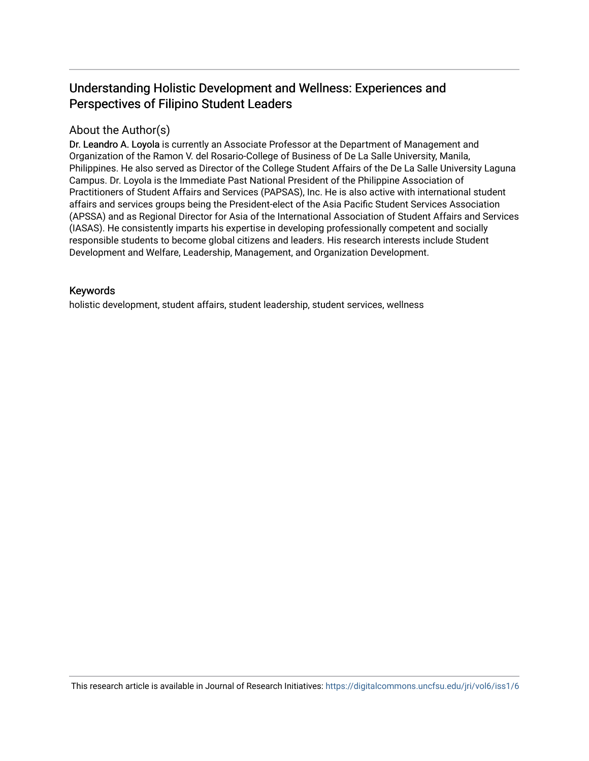## Understanding Holistic Development and Wellness: Experiences and Perspectives of Filipino Student Leaders

### About the Author(s)

Dr. Leandro A. Loyola is currently an Associate Professor at the Department of Management and Organization of the Ramon V. del Rosario-College of Business of De La Salle University, Manila, Philippines. He also served as Director of the College Student Affairs of the De La Salle University Laguna Campus. Dr. Loyola is the Immediate Past National President of the Philippine Association of Practitioners of Student Affairs and Services (PAPSAS), Inc. He is also active with international student affairs and services groups being the President-elect of the Asia Pacific Student Services Association (APSSA) and as Regional Director for Asia of the International Association of Student Affairs and Services (IASAS). He consistently imparts his expertise in developing professionally competent and socially responsible students to become global citizens and leaders. His research interests include Student Development and Welfare, Leadership, Management, and Organization Development.

#### Keywords

holistic development, student affairs, student leadership, student services, wellness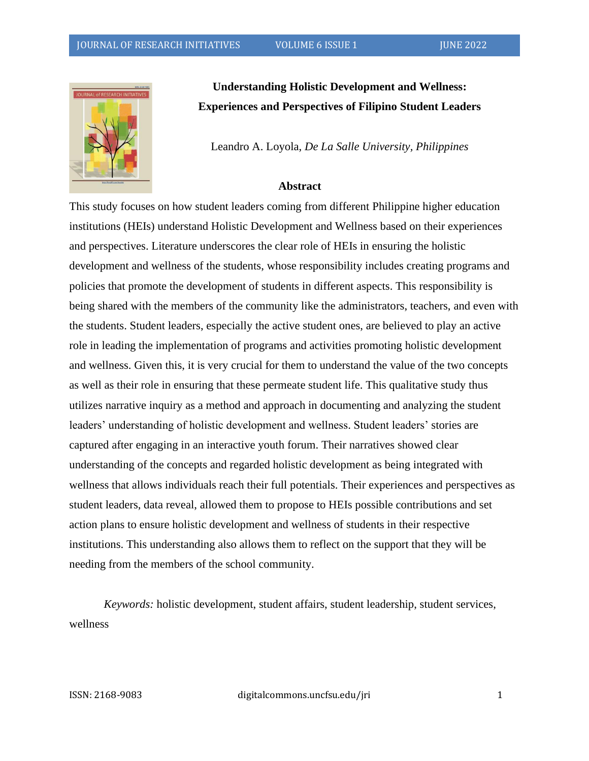

**Understanding Holistic Development and Wellness: Experiences and Perspectives of Filipino Student Leaders**

Leandro A. Loyola, *De La Salle University, Philippines*

#### **Abstract**

This study focuses on how student leaders coming from different Philippine higher education institutions (HEIs) understand Holistic Development and Wellness based on their experiences and perspectives. Literature underscores the clear role of HEIs in ensuring the holistic development and wellness of the students, whose responsibility includes creating programs and policies that promote the development of students in different aspects. This responsibility is being shared with the members of the community like the administrators, teachers, and even with the students. Student leaders, especially the active student ones, are believed to play an active role in leading the implementation of programs and activities promoting holistic development and wellness. Given this, it is very crucial for them to understand the value of the two concepts as well as their role in ensuring that these permeate student life. This qualitative study thus utilizes narrative inquiry as a method and approach in documenting and analyzing the student leaders' understanding of holistic development and wellness. Student leaders' stories are captured after engaging in an interactive youth forum. Their narratives showed clear understanding of the concepts and regarded holistic development as being integrated with wellness that allows individuals reach their full potentials. Their experiences and perspectives as student leaders, data reveal, allowed them to propose to HEIs possible contributions and set action plans to ensure holistic development and wellness of students in their respective institutions. This understanding also allows them to reflect on the support that they will be needing from the members of the school community.

*Keywords:* holistic development, student affairs, student leadership, student services, wellness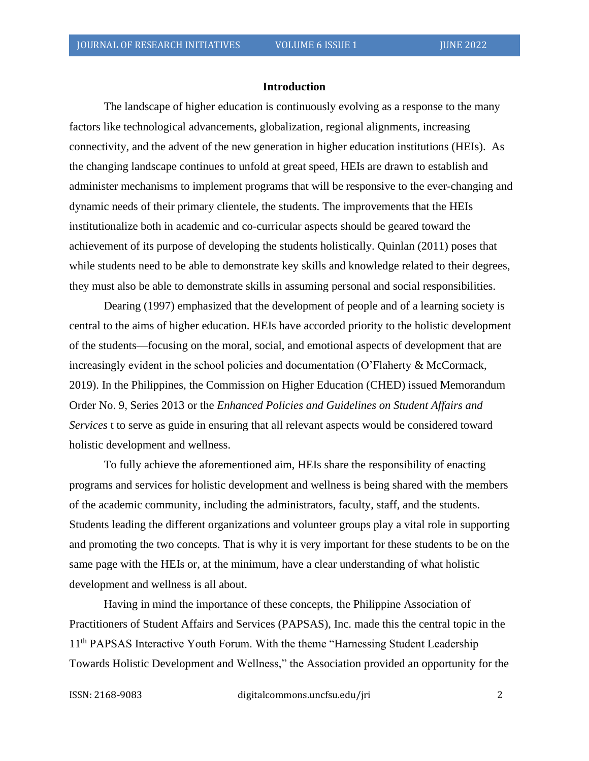#### **Introduction**

The landscape of higher education is continuously evolving as a response to the many factors like technological advancements, globalization, regional alignments, increasing connectivity, and the advent of the new generation in higher education institutions (HEIs). As the changing landscape continues to unfold at great speed, HEIs are drawn to establish and administer mechanisms to implement programs that will be responsive to the ever-changing and dynamic needs of their primary clientele, the students. The improvements that the HEIs institutionalize both in academic and co-curricular aspects should be geared toward the achievement of its purpose of developing the students holistically. Quinlan (2011) poses that while students need to be able to demonstrate key skills and knowledge related to their degrees, they must also be able to demonstrate skills in assuming personal and social responsibilities.

Dearing (1997) emphasized that the development of people and of a learning society is central to the aims of higher education. HEIs have accorded priority to the holistic development of the students—focusing on the moral, social, and emotional aspects of development that are increasingly evident in the school policies and documentation (O'Flaherty & McCormack, 2019). In the Philippines, the Commission on Higher Education (CHED) issued Memorandum Order No. 9, Series 2013 or the *Enhanced Policies and Guidelines on Student Affairs and Services* t to serve as guide in ensuring that all relevant aspects would be considered toward holistic development and wellness.

To fully achieve the aforementioned aim, HEIs share the responsibility of enacting programs and services for holistic development and wellness is being shared with the members of the academic community, including the administrators, faculty, staff, and the students. Students leading the different organizations and volunteer groups play a vital role in supporting and promoting the two concepts. That is why it is very important for these students to be on the same page with the HEIs or, at the minimum, have a clear understanding of what holistic development and wellness is all about.

Having in mind the importance of these concepts, the Philippine Association of Practitioners of Student Affairs and Services (PAPSAS), Inc. made this the central topic in the 11<sup>th</sup> PAPSAS Interactive Youth Forum. With the theme "Harnessing Student Leadership Towards Holistic Development and Wellness," the Association provided an opportunity for the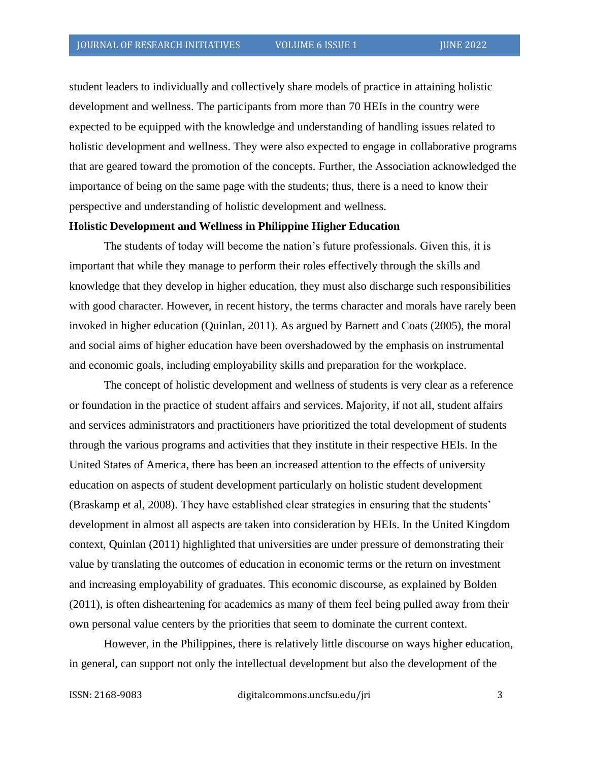student leaders to individually and collectively share models of practice in attaining holistic development and wellness. The participants from more than 70 HEIs in the country were expected to be equipped with the knowledge and understanding of handling issues related to holistic development and wellness. They were also expected to engage in collaborative programs that are geared toward the promotion of the concepts. Further, the Association acknowledged the importance of being on the same page with the students; thus, there is a need to know their perspective and understanding of holistic development and wellness.

#### **Holistic Development and Wellness in Philippine Higher Education**

The students of today will become the nation's future professionals. Given this, it is important that while they manage to perform their roles effectively through the skills and knowledge that they develop in higher education, they must also discharge such responsibilities with good character. However, in recent history, the terms character and morals have rarely been invoked in higher education (Quinlan, 2011). As argued by Barnett and Coats (2005), the moral and social aims of higher education have been overshadowed by the emphasis on instrumental and economic goals, including employability skills and preparation for the workplace.

The concept of holistic development and wellness of students is very clear as a reference or foundation in the practice of student affairs and services. Majority, if not all, student affairs and services administrators and practitioners have prioritized the total development of students through the various programs and activities that they institute in their respective HEIs. In the United States of America, there has been an increased attention to the effects of university education on aspects of student development particularly on holistic student development (Braskamp et al, 2008). They have established clear strategies in ensuring that the students' development in almost all aspects are taken into consideration by HEIs. In the United Kingdom context, Quinlan (2011) highlighted that universities are under pressure of demonstrating their value by translating the outcomes of education in economic terms or the return on investment and increasing employability of graduates. This economic discourse, as explained by Bolden (2011), is often disheartening for academics as many of them feel being pulled away from their own personal value centers by the priorities that seem to dominate the current context.

However, in the Philippines, there is relatively little discourse on ways higher education, in general, can support not only the intellectual development but also the development of the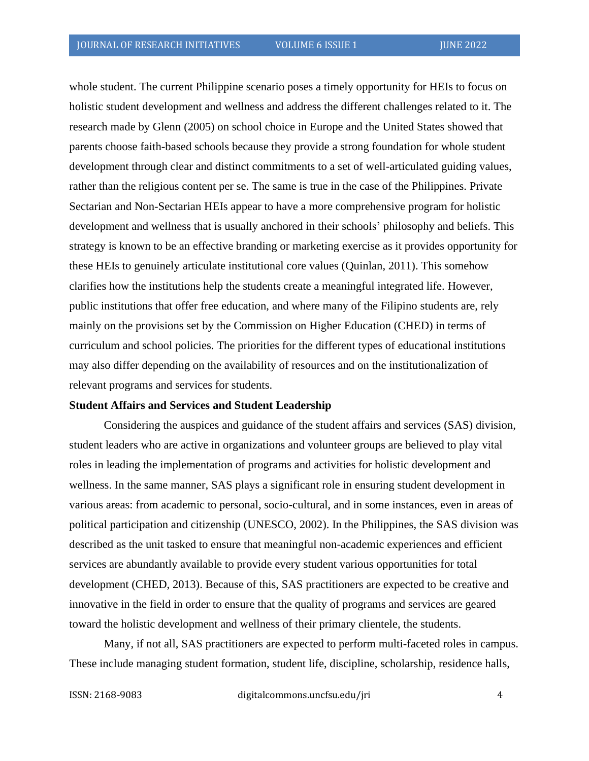whole student. The current Philippine scenario poses a timely opportunity for HEIs to focus on holistic student development and wellness and address the different challenges related to it. The research made by Glenn (2005) on school choice in Europe and the United States showed that parents choose faith-based schools because they provide a strong foundation for whole student development through clear and distinct commitments to a set of well-articulated guiding values, rather than the religious content per se. The same is true in the case of the Philippines. Private Sectarian and Non-Sectarian HEIs appear to have a more comprehensive program for holistic development and wellness that is usually anchored in their schools' philosophy and beliefs. This strategy is known to be an effective branding or marketing exercise as it provides opportunity for these HEIs to genuinely articulate institutional core values (Quinlan, 2011). This somehow clarifies how the institutions help the students create a meaningful integrated life. However, public institutions that offer free education, and where many of the Filipino students are, rely mainly on the provisions set by the Commission on Higher Education (CHED) in terms of curriculum and school policies. The priorities for the different types of educational institutions may also differ depending on the availability of resources and on the institutionalization of relevant programs and services for students.

#### **Student Affairs and Services and Student Leadership**

Considering the auspices and guidance of the student affairs and services (SAS) division, student leaders who are active in organizations and volunteer groups are believed to play vital roles in leading the implementation of programs and activities for holistic development and wellness. In the same manner, SAS plays a significant role in ensuring student development in various areas: from academic to personal, socio-cultural, and in some instances, even in areas of political participation and citizenship (UNESCO, 2002). In the Philippines, the SAS division was described as the unit tasked to ensure that meaningful non-academic experiences and efficient services are abundantly available to provide every student various opportunities for total development (CHED, 2013). Because of this, SAS practitioners are expected to be creative and innovative in the field in order to ensure that the quality of programs and services are geared toward the holistic development and wellness of their primary clientele, the students.

Many, if not all, SAS practitioners are expected to perform multi-faceted roles in campus. These include managing student formation, student life, discipline, scholarship, residence halls,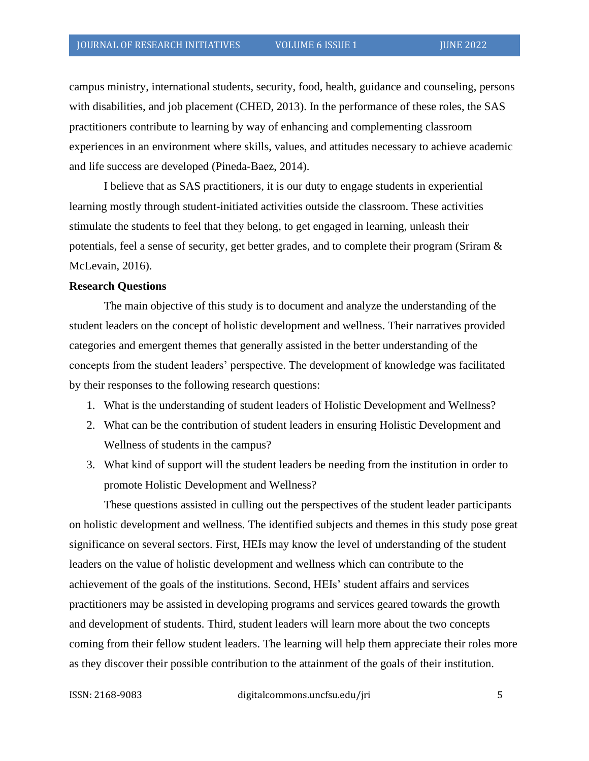campus ministry, international students, security, food, health, guidance and counseling, persons with disabilities, and job placement (CHED, 2013). In the performance of these roles, the SAS practitioners contribute to learning by way of enhancing and complementing classroom experiences in an environment where skills, values, and attitudes necessary to achieve academic and life success are developed (Pineda-Baez, 2014).

I believe that as SAS practitioners, it is our duty to engage students in experiential learning mostly through student-initiated activities outside the classroom. These activities stimulate the students to feel that they belong, to get engaged in learning, unleash their potentials, feel a sense of security, get better grades, and to complete their program (Sriram & McLevain, 2016).

#### **Research Questions**

The main objective of this study is to document and analyze the understanding of the student leaders on the concept of holistic development and wellness. Their narratives provided categories and emergent themes that generally assisted in the better understanding of the concepts from the student leaders' perspective. The development of knowledge was facilitated by their responses to the following research questions:

- 1. What is the understanding of student leaders of Holistic Development and Wellness?
- 2. What can be the contribution of student leaders in ensuring Holistic Development and Wellness of students in the campus?
- 3. What kind of support will the student leaders be needing from the institution in order to promote Holistic Development and Wellness?

These questions assisted in culling out the perspectives of the student leader participants on holistic development and wellness. The identified subjects and themes in this study pose great significance on several sectors. First, HEIs may know the level of understanding of the student leaders on the value of holistic development and wellness which can contribute to the achievement of the goals of the institutions. Second, HEIs' student affairs and services practitioners may be assisted in developing programs and services geared towards the growth and development of students. Third, student leaders will learn more about the two concepts coming from their fellow student leaders. The learning will help them appreciate their roles more as they discover their possible contribution to the attainment of the goals of their institution.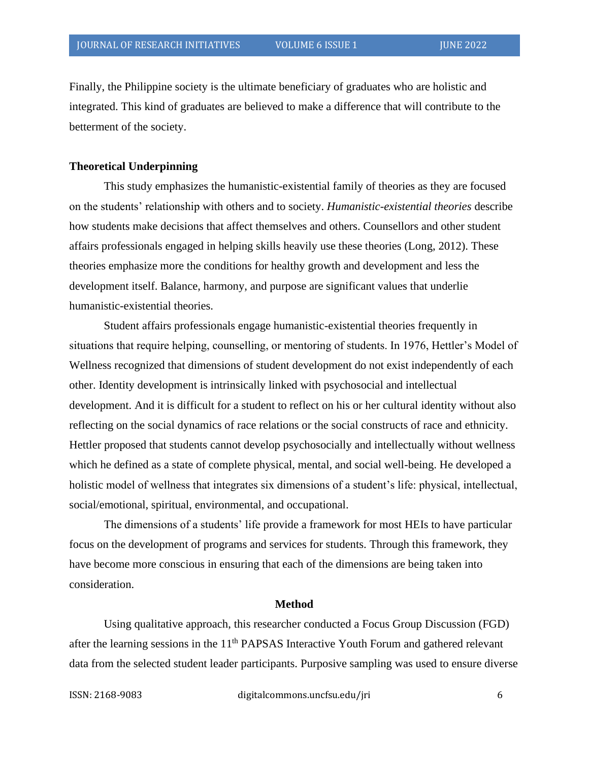Finally, the Philippine society is the ultimate beneficiary of graduates who are holistic and integrated. This kind of graduates are believed to make a difference that will contribute to the betterment of the society.

#### **Theoretical Underpinning**

This study emphasizes the humanistic-existential family of theories as they are focused on the students' relationship with others and to society. *Humanistic-existential theories* describe how students make decisions that affect themselves and others. Counsellors and other student affairs professionals engaged in helping skills heavily use these theories (Long, 2012). These theories emphasize more the conditions for healthy growth and development and less the development itself. Balance, harmony, and purpose are significant values that underlie humanistic-existential theories.

Student affairs professionals engage humanistic-existential theories frequently in situations that require helping, counselling, or mentoring of students. In 1976, Hettler's Model of Wellness recognized that dimensions of student development do not exist independently of each other. Identity development is intrinsically linked with psychosocial and intellectual development. And it is difficult for a student to reflect on his or her cultural identity without also reflecting on the social dynamics of race relations or the social constructs of race and ethnicity. Hettler proposed that students cannot develop psychosocially and intellectually without wellness which he defined as a state of complete physical, mental, and social well-being. He developed a holistic model of wellness that integrates six dimensions of a student's life: physical, intellectual, social/emotional, spiritual, environmental, and occupational.

The dimensions of a students' life provide a framework for most HEIs to have particular focus on the development of programs and services for students. Through this framework, they have become more conscious in ensuring that each of the dimensions are being taken into consideration.

#### **Method**

Using qualitative approach, this researcher conducted a Focus Group Discussion (FGD) after the learning sessions in the 11<sup>th</sup> PAPSAS Interactive Youth Forum and gathered relevant data from the selected student leader participants. Purposive sampling was used to ensure diverse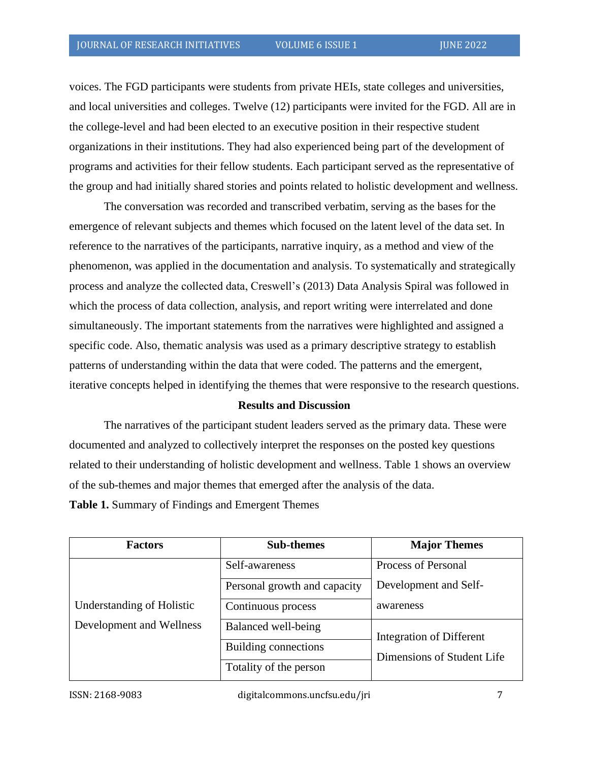voices. The FGD participants were students from private HEIs, state colleges and universities, and local universities and colleges. Twelve (12) participants were invited for the FGD. All are in the college-level and had been elected to an executive position in their respective student organizations in their institutions. They had also experienced being part of the development of programs and activities for their fellow students. Each participant served as the representative of the group and had initially shared stories and points related to holistic development and wellness.

The conversation was recorded and transcribed verbatim, serving as the bases for the emergence of relevant subjects and themes which focused on the latent level of the data set. In reference to the narratives of the participants, narrative inquiry, as a method and view of the phenomenon, was applied in the documentation and analysis. To systematically and strategically process and analyze the collected data, Creswell's (2013) Data Analysis Spiral was followed in which the process of data collection, analysis, and report writing were interrelated and done simultaneously. The important statements from the narratives were highlighted and assigned a specific code. Also, thematic analysis was used as a primary descriptive strategy to establish patterns of understanding within the data that were coded. The patterns and the emergent, iterative concepts helped in identifying the themes that were responsive to the research questions.

#### **Results and Discussion**

The narratives of the participant student leaders served as the primary data. These were documented and analyzed to collectively interpret the responses on the posted key questions related to their understanding of holistic development and wellness. Table 1 shows an overview of the sub-themes and major themes that emerged after the analysis of the data. **Table 1.** Summary of Findings and Emergent Themes

| <b>Factors</b>                                        | <b>Sub-themes</b>            | <b>Major Themes</b>        |
|-------------------------------------------------------|------------------------------|----------------------------|
| Understanding of Holistic<br>Development and Wellness | Self-awareness               | Process of Personal        |
|                                                       | Personal growth and capacity | Development and Self-      |
|                                                       | Continuous process           | awareness                  |
|                                                       | Balanced well-being          | Integration of Different   |
|                                                       | Building connections         | Dimensions of Student Life |
|                                                       | Totality of the person       |                            |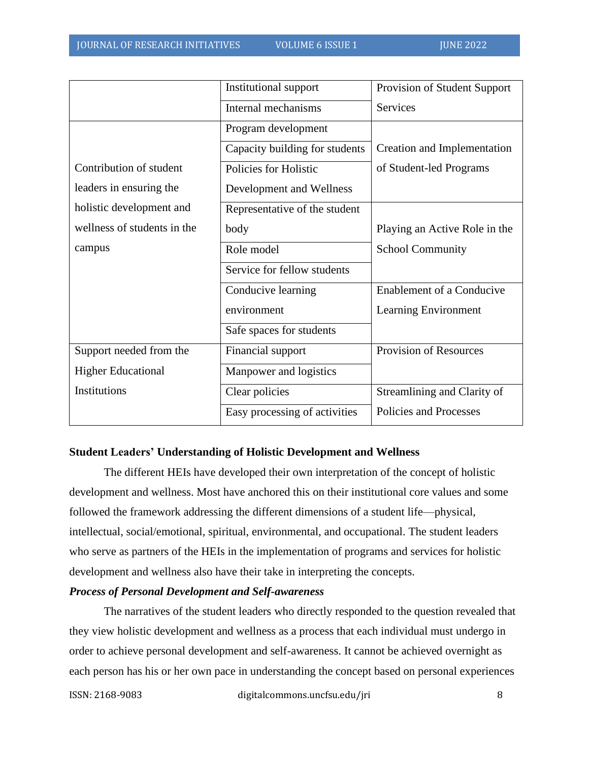|                             | Institutional support          | Provision of Student Support     |
|-----------------------------|--------------------------------|----------------------------------|
|                             | Internal mechanisms            | <b>Services</b>                  |
|                             | Program development            |                                  |
|                             | Capacity building for students | Creation and Implementation      |
| Contribution of student     | Policies for Holistic          | of Student-led Programs          |
| leaders in ensuring the     | Development and Wellness       |                                  |
| holistic development and    | Representative of the student  |                                  |
| wellness of students in the | body                           | Playing an Active Role in the    |
| campus                      | Role model                     | <b>School Community</b>          |
|                             | Service for fellow students    |                                  |
|                             | Conducive learning             | <b>Enablement of a Conducive</b> |
|                             | environment                    | Learning Environment             |
|                             | Safe spaces for students       |                                  |
| Support needed from the     | Financial support              | <b>Provision of Resources</b>    |
| <b>Higher Educational</b>   | Manpower and logistics         |                                  |
| Institutions                | Clear policies                 | Streamlining and Clarity of      |
|                             | Easy processing of activities  | Policies and Processes           |

#### **Student Leaders' Understanding of Holistic Development and Wellness**

The different HEIs have developed their own interpretation of the concept of holistic development and wellness. Most have anchored this on their institutional core values and some followed the framework addressing the different dimensions of a student life—physical, intellectual, social/emotional, spiritual, environmental, and occupational. The student leaders who serve as partners of the HEIs in the implementation of programs and services for holistic development and wellness also have their take in interpreting the concepts.

#### *Process of Personal Development and Self-awareness*

The narratives of the student leaders who directly responded to the question revealed that they view holistic development and wellness as a process that each individual must undergo in order to achieve personal development and self-awareness. It cannot be achieved overnight as each person has his or her own pace in understanding the concept based on personal experiences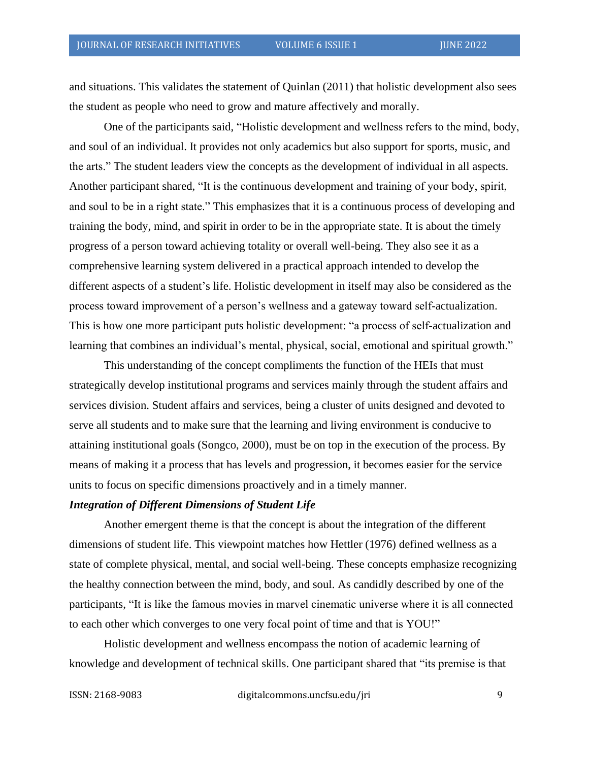and situations. This validates the statement of Quinlan (2011) that holistic development also sees the student as people who need to grow and mature affectively and morally.

One of the participants said, "Holistic development and wellness refers to the mind, body, and soul of an individual. It provides not only academics but also support for sports, music, and the arts." The student leaders view the concepts as the development of individual in all aspects. Another participant shared, "It is the continuous development and training of your body, spirit, and soul to be in a right state." This emphasizes that it is a continuous process of developing and training the body, mind, and spirit in order to be in the appropriate state. It is about the timely progress of a person toward achieving totality or overall well-being. They also see it as a comprehensive learning system delivered in a practical approach intended to develop the different aspects of a student's life. Holistic development in itself may also be considered as the process toward improvement of a person's wellness and a gateway toward self-actualization. This is how one more participant puts holistic development: "a process of self-actualization and learning that combines an individual's mental, physical, social, emotional and spiritual growth."

This understanding of the concept compliments the function of the HEIs that must strategically develop institutional programs and services mainly through the student affairs and services division. Student affairs and services, being a cluster of units designed and devoted to serve all students and to make sure that the learning and living environment is conducive to attaining institutional goals (Songco, 2000), must be on top in the execution of the process. By means of making it a process that has levels and progression, it becomes easier for the service units to focus on specific dimensions proactively and in a timely manner.

#### *Integration of Different Dimensions of Student Life*

Another emergent theme is that the concept is about the integration of the different dimensions of student life. This viewpoint matches how Hettler (1976) defined wellness as a state of complete physical, mental, and social well-being. These concepts emphasize recognizing the healthy connection between the mind, body, and soul. As candidly described by one of the participants, "It is like the famous movies in marvel cinematic universe where it is all connected to each other which converges to one very focal point of time and that is YOU!"

Holistic development and wellness encompass the notion of academic learning of knowledge and development of technical skills. One participant shared that "its premise is that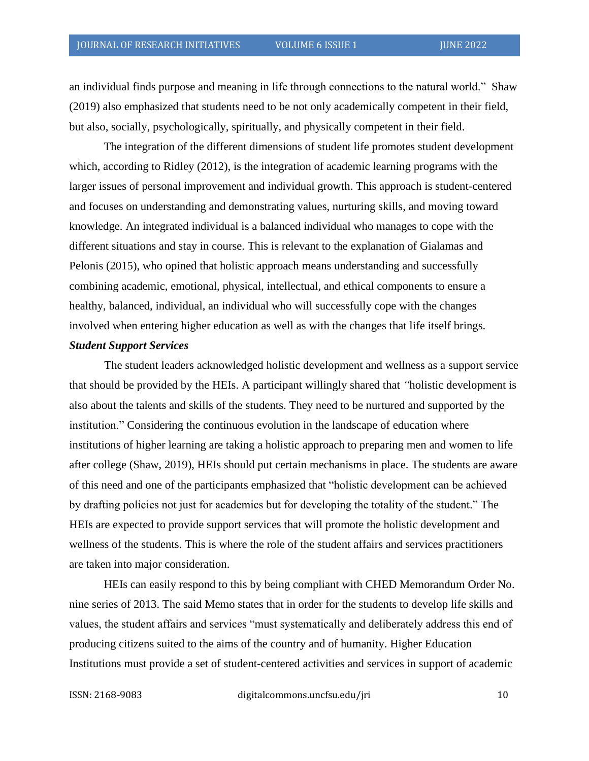an individual finds purpose and meaning in life through connections to the natural world." Shaw (2019) also emphasized that students need to be not only academically competent in their field, but also, socially, psychologically, spiritually, and physically competent in their field.

The integration of the different dimensions of student life promotes student development which, according to Ridley (2012), is the integration of academic learning programs with the larger issues of personal improvement and individual growth. This approach is student-centered and focuses on understanding and demonstrating values, nurturing skills, and moving toward knowledge. An integrated individual is a balanced individual who manages to cope with the different situations and stay in course. This is relevant to the explanation of Gialamas and Pelonis (2015), who opined that holistic approach means understanding and successfully combining academic, emotional, physical, intellectual, and ethical components to ensure a healthy, balanced, individual, an individual who will successfully cope with the changes involved when entering higher education as well as with the changes that life itself brings.

#### *Student Support Services*

The student leaders acknowledged holistic development and wellness as a support service that should be provided by the HEIs. A participant willingly shared that *"*holistic development is also about the talents and skills of the students. They need to be nurtured and supported by the institution." Considering the continuous evolution in the landscape of education where institutions of higher learning are taking a holistic approach to preparing men and women to life after college (Shaw, 2019), HEIs should put certain mechanisms in place. The students are aware of this need and one of the participants emphasized that "holistic development can be achieved by drafting policies not just for academics but for developing the totality of the student." The HEIs are expected to provide support services that will promote the holistic development and wellness of the students. This is where the role of the student affairs and services practitioners are taken into major consideration.

HEIs can easily respond to this by being compliant with CHED Memorandum Order No. nine series of 2013. The said Memo states that in order for the students to develop life skills and values, the student affairs and services "must systematically and deliberately address this end of producing citizens suited to the aims of the country and of humanity. Higher Education Institutions must provide a set of student-centered activities and services in support of academic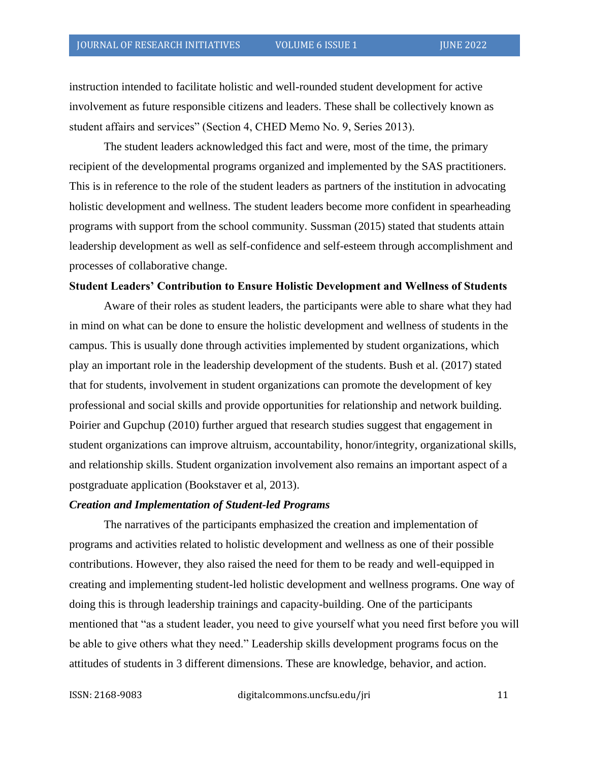instruction intended to facilitate holistic and well-rounded student development for active involvement as future responsible citizens and leaders. These shall be collectively known as student affairs and services" (Section 4, CHED Memo No. 9, Series 2013).

The student leaders acknowledged this fact and were, most of the time, the primary recipient of the developmental programs organized and implemented by the SAS practitioners. This is in reference to the role of the student leaders as partners of the institution in advocating holistic development and wellness. The student leaders become more confident in spearheading programs with support from the school community. Sussman (2015) stated that students attain leadership development as well as self-confidence and self-esteem through accomplishment and processes of collaborative change.

#### **Student Leaders' Contribution to Ensure Holistic Development and Wellness of Students**

Aware of their roles as student leaders, the participants were able to share what they had in mind on what can be done to ensure the holistic development and wellness of students in the campus. This is usually done through activities implemented by student organizations, which play an important role in the leadership development of the students. Bush et al. (2017) stated that for students, involvement in student organizations can promote the development of key professional and social skills and provide opportunities for relationship and network building. Poirier and Gupchup (2010) further argued that research studies suggest that engagement in student organizations can improve altruism, accountability, honor/integrity, organizational skills, and relationship skills. Student organization involvement also remains an important aspect of a postgraduate application (Bookstaver et al, 2013).

#### *Creation and Implementation of Student-led Programs*

The narratives of the participants emphasized the creation and implementation of programs and activities related to holistic development and wellness as one of their possible contributions. However, they also raised the need for them to be ready and well-equipped in creating and implementing student-led holistic development and wellness programs. One way of doing this is through leadership trainings and capacity-building. One of the participants mentioned that "as a student leader, you need to give yourself what you need first before you will be able to give others what they need." Leadership skills development programs focus on the attitudes of students in 3 different dimensions. These are knowledge, behavior, and action.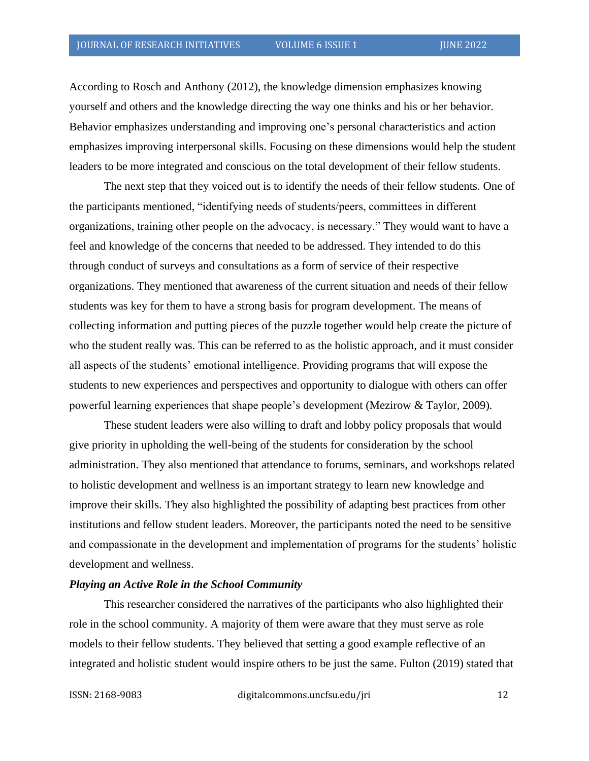According to Rosch and Anthony (2012), the knowledge dimension emphasizes knowing yourself and others and the knowledge directing the way one thinks and his or her behavior. Behavior emphasizes understanding and improving one's personal characteristics and action emphasizes improving interpersonal skills. Focusing on these dimensions would help the student leaders to be more integrated and conscious on the total development of their fellow students.

The next step that they voiced out is to identify the needs of their fellow students. One of the participants mentioned, "identifying needs of students/peers, committees in different organizations, training other people on the advocacy, is necessary." They would want to have a feel and knowledge of the concerns that needed to be addressed. They intended to do this through conduct of surveys and consultations as a form of service of their respective organizations. They mentioned that awareness of the current situation and needs of their fellow students was key for them to have a strong basis for program development. The means of collecting information and putting pieces of the puzzle together would help create the picture of who the student really was. This can be referred to as the holistic approach, and it must consider all aspects of the students' emotional intelligence. Providing programs that will expose the students to new experiences and perspectives and opportunity to dialogue with others can offer powerful learning experiences that shape people's development (Mezirow & Taylor, 2009).

These student leaders were also willing to draft and lobby policy proposals that would give priority in upholding the well-being of the students for consideration by the school administration. They also mentioned that attendance to forums, seminars, and workshops related to holistic development and wellness is an important strategy to learn new knowledge and improve their skills. They also highlighted the possibility of adapting best practices from other institutions and fellow student leaders. Moreover, the participants noted the need to be sensitive and compassionate in the development and implementation of programs for the students' holistic development and wellness.

#### *Playing an Active Role in the School Community*

This researcher considered the narratives of the participants who also highlighted their role in the school community. A majority of them were aware that they must serve as role models to their fellow students. They believed that setting a good example reflective of an integrated and holistic student would inspire others to be just the same. Fulton (2019) stated that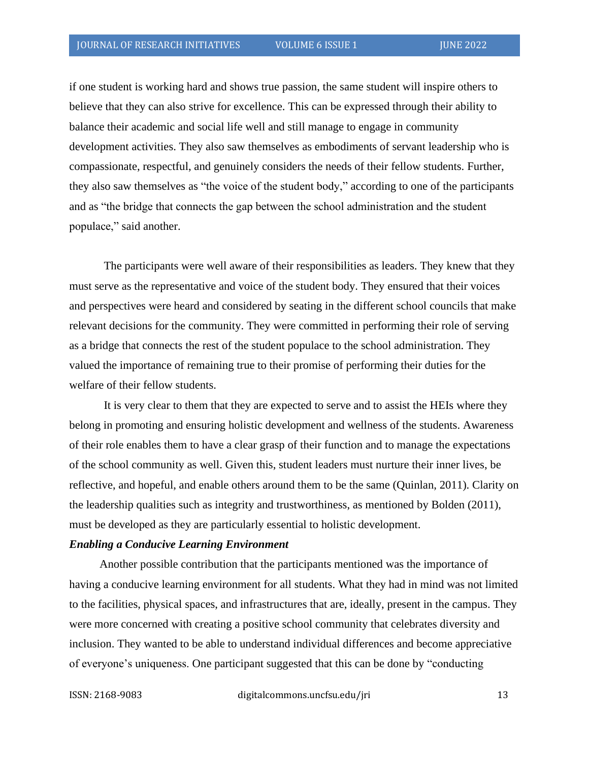if one student is working hard and shows true passion, the same student will inspire others to believe that they can also strive for excellence. This can be expressed through their ability to balance their academic and social life well and still manage to engage in community development activities. They also saw themselves as embodiments of servant leadership who is compassionate, respectful, and genuinely considers the needs of their fellow students. Further, they also saw themselves as "the voice of the student body," according to one of the participants and as "the bridge that connects the gap between the school administration and the student populace," said another.

The participants were well aware of their responsibilities as leaders. They knew that they must serve as the representative and voice of the student body. They ensured that their voices and perspectives were heard and considered by seating in the different school councils that make relevant decisions for the community. They were committed in performing their role of serving as a bridge that connects the rest of the student populace to the school administration. They valued the importance of remaining true to their promise of performing their duties for the welfare of their fellow students.

It is very clear to them that they are expected to serve and to assist the HEIs where they belong in promoting and ensuring holistic development and wellness of the students. Awareness of their role enables them to have a clear grasp of their function and to manage the expectations of the school community as well. Given this, student leaders must nurture their inner lives, be reflective, and hopeful, and enable others around them to be the same (Quinlan, 2011). Clarity on the leadership qualities such as integrity and trustworthiness, as mentioned by Bolden (2011), must be developed as they are particularly essential to holistic development.

#### *Enabling a Conducive Learning Environment*

Another possible contribution that the participants mentioned was the importance of having a conducive learning environment for all students. What they had in mind was not limited to the facilities, physical spaces, and infrastructures that are, ideally, present in the campus. They were more concerned with creating a positive school community that celebrates diversity and inclusion. They wanted to be able to understand individual differences and become appreciative of everyone's uniqueness. One participant suggested that this can be done by "conducting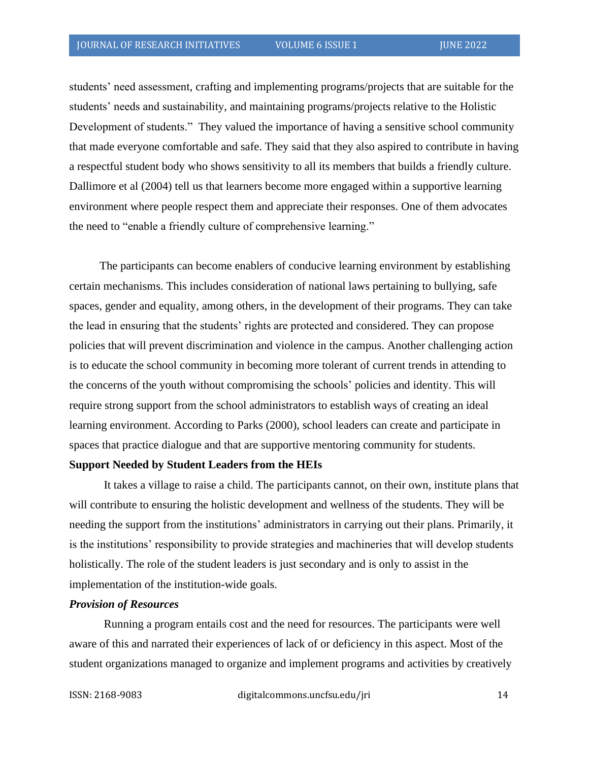students' need assessment, crafting and implementing programs/projects that are suitable for the students' needs and sustainability, and maintaining programs/projects relative to the Holistic Development of students." They valued the importance of having a sensitive school community that made everyone comfortable and safe. They said that they also aspired to contribute in having a respectful student body who shows sensitivity to all its members that builds a friendly culture. Dallimore et al (2004) tell us that learners become more engaged within a supportive learning environment where people respect them and appreciate their responses. One of them advocates the need to "enable a friendly culture of comprehensive learning."

The participants can become enablers of conducive learning environment by establishing certain mechanisms. This includes consideration of national laws pertaining to bullying, safe spaces, gender and equality, among others, in the development of their programs. They can take the lead in ensuring that the students' rights are protected and considered. They can propose policies that will prevent discrimination and violence in the campus. Another challenging action is to educate the school community in becoming more tolerant of current trends in attending to the concerns of the youth without compromising the schools' policies and identity. This will require strong support from the school administrators to establish ways of creating an ideal learning environment. According to Parks (2000), school leaders can create and participate in spaces that practice dialogue and that are supportive mentoring community for students.

#### **Support Needed by Student Leaders from the HEIs**

It takes a village to raise a child. The participants cannot, on their own, institute plans that will contribute to ensuring the holistic development and wellness of the students. They will be needing the support from the institutions' administrators in carrying out their plans. Primarily, it is the institutions' responsibility to provide strategies and machineries that will develop students holistically. The role of the student leaders is just secondary and is only to assist in the implementation of the institution-wide goals.

#### *Provision of Resources*

Running a program entails cost and the need for resources. The participants were well aware of this and narrated their experiences of lack of or deficiency in this aspect. Most of the student organizations managed to organize and implement programs and activities by creatively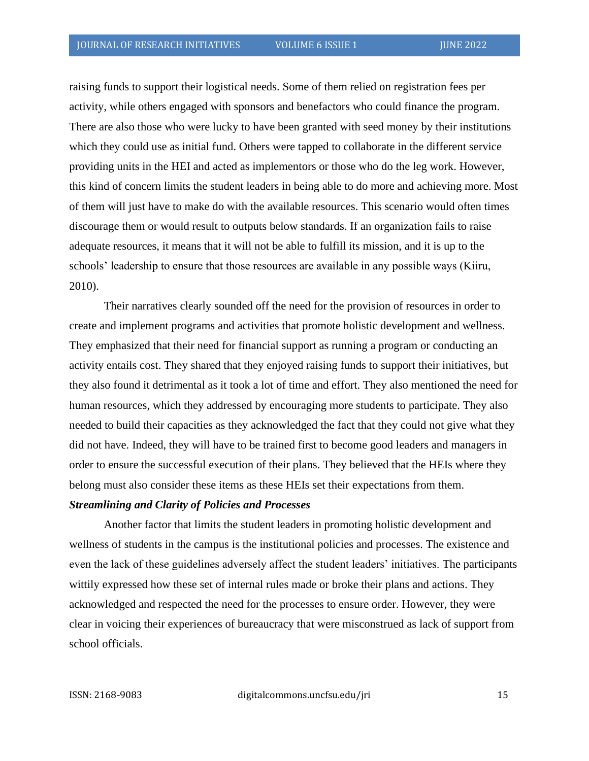raising funds to support their logistical needs. Some of them relied on registration fees per activity, while others engaged with sponsors and benefactors who could finance the program. There are also those who were lucky to have been granted with seed money by their institutions which they could use as initial fund. Others were tapped to collaborate in the different service providing units in the HEI and acted as implementors or those who do the leg work. However, this kind of concern limits the student leaders in being able to do more and achieving more. Most of them will just have to make do with the available resources. This scenario would often times discourage them or would result to outputs below standards. If an organization fails to raise adequate resources, it means that it will not be able to fulfill its mission, and it is up to the schools' leadership to ensure that those resources are available in any possible ways (Kiiru, 2010).

Their narratives clearly sounded off the need for the provision of resources in order to create and implement programs and activities that promote holistic development and wellness. They emphasized that their need for financial support as running a program or conducting an activity entails cost. They shared that they enjoyed raising funds to support their initiatives, but they also found it detrimental as it took a lot of time and effort. They also mentioned the need for human resources, which they addressed by encouraging more students to participate. They also needed to build their capacities as they acknowledged the fact that they could not give what they did not have. Indeed, they will have to be trained first to become good leaders and managers in order to ensure the successful execution of their plans. They believed that the HEIs where they belong must also consider these items as these HEIs set their expectations from them.

#### *Streamlining and Clarity of Policies and Processes*

Another factor that limits the student leaders in promoting holistic development and wellness of students in the campus is the institutional policies and processes. The existence and even the lack of these guidelines adversely affect the student leaders' initiatives. The participants wittily expressed how these set of internal rules made or broke their plans and actions. They acknowledged and respected the need for the processes to ensure order. However, they were clear in voicing their experiences of bureaucracy that were misconstrued as lack of support from school officials.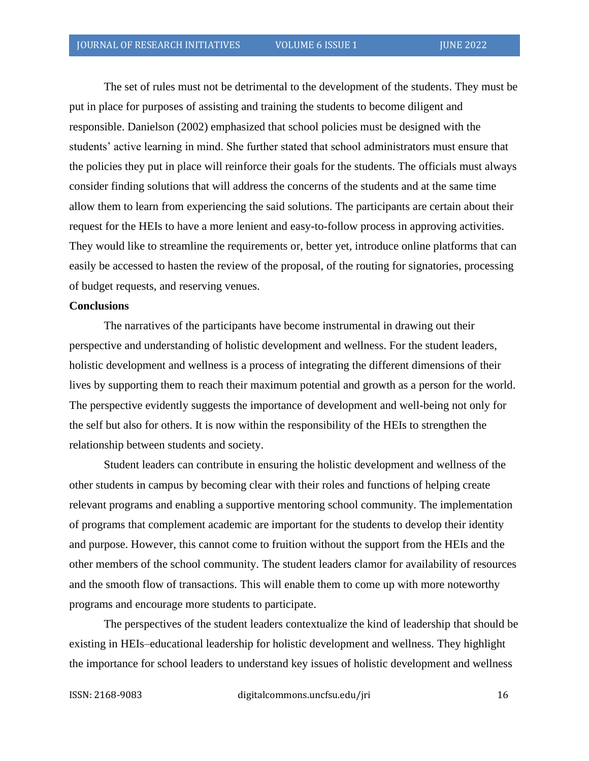The set of rules must not be detrimental to the development of the students. They must be put in place for purposes of assisting and training the students to become diligent and responsible. Danielson (2002) emphasized that school policies must be designed with the students' active learning in mind. She further stated that school administrators must ensure that the policies they put in place will reinforce their goals for the students. The officials must always consider finding solutions that will address the concerns of the students and at the same time allow them to learn from experiencing the said solutions. The participants are certain about their request for the HEIs to have a more lenient and easy-to-follow process in approving activities. They would like to streamline the requirements or, better yet, introduce online platforms that can easily be accessed to hasten the review of the proposal, of the routing for signatories, processing of budget requests, and reserving venues.

#### **Conclusions**

The narratives of the participants have become instrumental in drawing out their perspective and understanding of holistic development and wellness. For the student leaders, holistic development and wellness is a process of integrating the different dimensions of their lives by supporting them to reach their maximum potential and growth as a person for the world. The perspective evidently suggests the importance of development and well-being not only for the self but also for others. It is now within the responsibility of the HEIs to strengthen the relationship between students and society.

Student leaders can contribute in ensuring the holistic development and wellness of the other students in campus by becoming clear with their roles and functions of helping create relevant programs and enabling a supportive mentoring school community. The implementation of programs that complement academic are important for the students to develop their identity and purpose. However, this cannot come to fruition without the support from the HEIs and the other members of the school community. The student leaders clamor for availability of resources and the smooth flow of transactions. This will enable them to come up with more noteworthy programs and encourage more students to participate.

The perspectives of the student leaders contextualize the kind of leadership that should be existing in HEIs–educational leadership for holistic development and wellness. They highlight the importance for school leaders to understand key issues of holistic development and wellness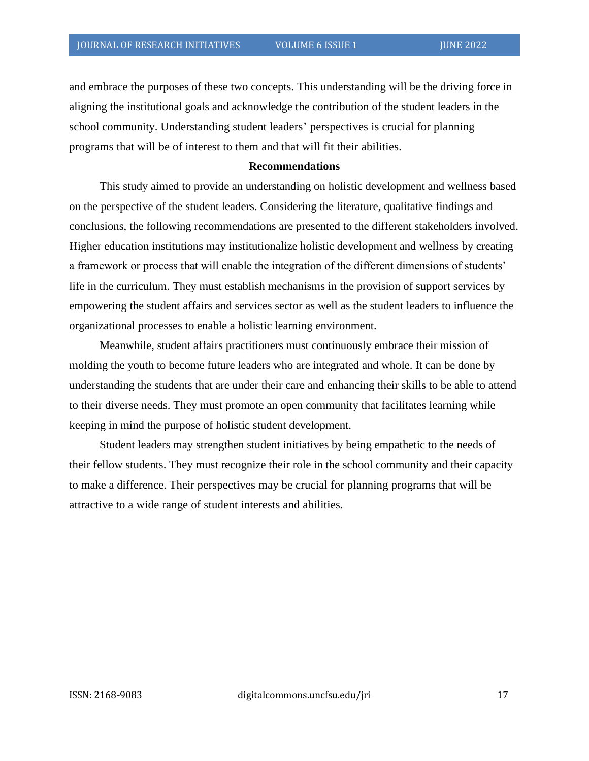and embrace the purposes of these two concepts. This understanding will be the driving force in aligning the institutional goals and acknowledge the contribution of the student leaders in the school community. Understanding student leaders' perspectives is crucial for planning programs that will be of interest to them and that will fit their abilities.

#### **Recommendations**

This study aimed to provide an understanding on holistic development and wellness based on the perspective of the student leaders. Considering the literature, qualitative findings and conclusions, the following recommendations are presented to the different stakeholders involved. Higher education institutions may institutionalize holistic development and wellness by creating a framework or process that will enable the integration of the different dimensions of students' life in the curriculum. They must establish mechanisms in the provision of support services by empowering the student affairs and services sector as well as the student leaders to influence the organizational processes to enable a holistic learning environment.

Meanwhile, student affairs practitioners must continuously embrace their mission of molding the youth to become future leaders who are integrated and whole. It can be done by understanding the students that are under their care and enhancing their skills to be able to attend to their diverse needs. They must promote an open community that facilitates learning while keeping in mind the purpose of holistic student development.

Student leaders may strengthen student initiatives by being empathetic to the needs of their fellow students. They must recognize their role in the school community and their capacity to make a difference. Their perspectives may be crucial for planning programs that will be attractive to a wide range of student interests and abilities.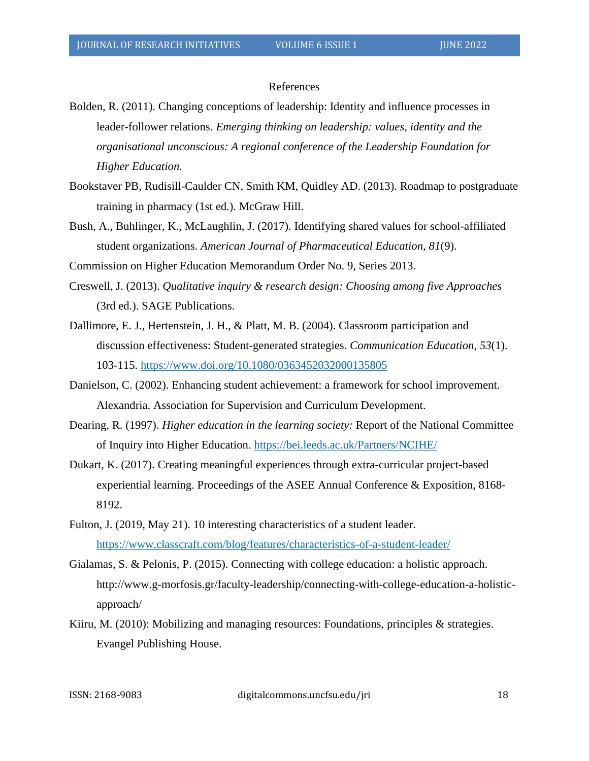#### References

Bolden, R. (2011). Changing conceptions of leadership: Identity and influence processes in leader-follower relations. *Emerging thinking on leadership: values, identity and the organisational unconscious: A regional conference of the Leadership Foundation for Higher Education.*

- Bookstaver PB, Rudisill-Caulder CN, Smith KM, Quidley AD. (2013). Roadmap to postgraduate training in pharmacy (1st ed.). McGraw Hill.
- Bush, A., Buhlinger, K., McLaughlin, J. (2017). Identifying shared values for school-affiliated student organizations. *American Journal of Pharmaceutical Education, 81*(9).

Commission on Higher Education Memorandum Order No. 9, Series 2013.

- Creswell, J. (2013). *Qualitative inquiry & research design: Choosing among five Approaches*  (3rd ed.). SAGE Publications.
- Dallimore, E. J., Hertenstein, J. H., & Platt, M. B. (2004). Classroom participation and discussion effectiveness: Student-generated strategies. *Communication Education, 53*(1). 103-115.<https://www.doi.org/10.1080/0363452032000135805>
- Danielson, C. (2002). Enhancing student achievement: a framework for school improvement. Alexandria. Association for Supervision and Curriculum Development.
- Dearing, R. (1997). *Higher education in the learning society:* Report of the National Committee of Inquiry into Higher Education. <https://bei.leeds.ac.uk/Partners/NCIHE/>
- Dukart, K. (2017). Creating meaningful experiences through extra-curricular project-based experiential learning. Proceedings of the ASEE Annual Conference & Exposition, 8168- 8192.
- Fulton, J. (2019, May 21). 10 interesting characteristics of a student leader. <https://www.classcraft.com/blog/features/characteristics-of-a-student-leader/>
- Gialamas, S. & Pelonis, P. (2015). Connecting with college education: a holistic approach. [http://www.g-morfosis.gr/faculty-leadership/connecting-with-college-education-a-holistic](http://www.g-morfosis.gr/faculty-leadership/connecting-with-college-education-a-holistic-approach/)[approach/](http://www.g-morfosis.gr/faculty-leadership/connecting-with-college-education-a-holistic-approach/)
- Kiiru, M. (2010): Mobilizing and managing resources: Foundations, principles & strategies. Evangel Publishing House.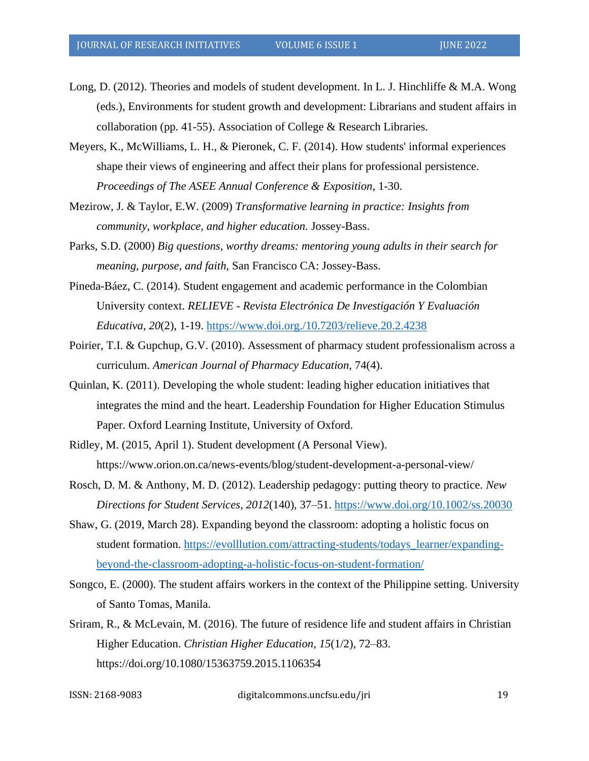- Long, D. (2012). Theories and models of student development. In L. J. Hinchliffe & M.A. Wong (eds.), Environments for student growth and development: Librarians and student affairs in collaboration (pp. 41-55). Association of College & Research Libraries.
- Meyers, K., McWilliams, L. H., & Pieronek, C. F. (2014). How students' informal experiences shape their views of engineering and affect their plans for professional persistence. *Proceedings of The ASEE Annual Conference & Exposition*, 1-30.
- Mezirow, J. & Taylor, E.W. (2009) *Transformative learning in practice: Insights from community, workplace, and higher education.* Jossey-Bass.
- Parks, S.D. (2000) *Big questions, worthy dreams: mentoring young adults in their search for meaning, purpose, and faith,* San Francisco CA: Jossey-Bass.
- Pineda-Báez, C. (2014). Student engagement and academic performance in the Colombian University context. *RELIEVE - Revista Electrónica De Investigación Y Evaluación Educativa*, *20*(2), 1-19.<https://www.doi.org./10.7203/relieve.20.2.4238>
- Poirier, T.I. & Gupchup, G.V. (2010). Assessment of pharmacy student professionalism across a curriculum. *American Journal of Pharmacy Education,* 74(4).
- Quinlan, K. (2011). Developing the whole student: leading higher education initiatives that integrates the mind and the heart. Leadership Foundation for Higher Education Stimulus Paper. Oxford Learning Institute, University of Oxford.
- Ridley, M. (2015, April 1). Student development (A Personal View). https://www.orion.on.ca/news-events/blog/student-development-a-personal-view/
- Rosch, D. M. & Anthony, M. D. (2012). Leadership pedagogy: putting theory to practice. *New Directions for Student Services*, *2012*(140), 37–51.<https://www.doi.org/10.1002/ss.20030>
- Shaw, G. (2019, March 28). Expanding beyond the classroom: adopting a holistic focus on student formation. [https://evolllution.com/attracting-students/todays\\_learner/expanding](https://evolllution.com/attracting-students/todays_learner/expanding-beyond-the-classroom-adopting-a-holistic-focus-on-student-formation/)[beyond-the-classroom-adopting-a-holistic-focus-on-student-formation/](https://evolllution.com/attracting-students/todays_learner/expanding-beyond-the-classroom-adopting-a-holistic-focus-on-student-formation/)
- Songco, E. (2000). The student affairs workers in the context of the Philippine setting. University of Santo Tomas, Manila.
- Sriram, R., & McLevain, M. (2016). The future of residence life and student affairs in Christian Higher Education. *Christian Higher Education*, *15*(1/2), 72–83. <https://doi.org/10.1080/15363759.2015.1106354>